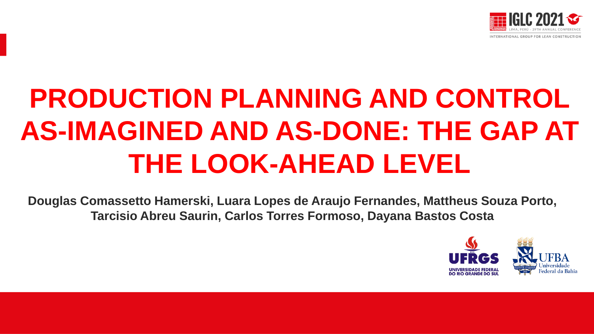

# **PRODUCTION PLANNING AND CONTROL AS-IMAGINED AND AS-DONE: THE GAP AT THE LOOK-AHEAD LEVEL**

**Douglas Comassetto Hamerski, Luara Lopes de Araujo Fernandes, Mattheus Souza Porto, Tarcisio Abreu Saurin, Carlos Torres Formoso, Dayana Bastos Costa**

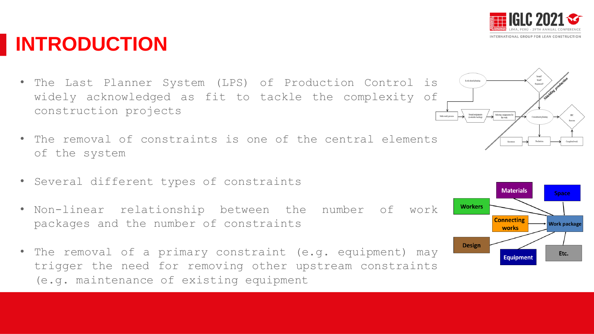- The Last Planner System (LPS) of Production Control is widely acknowledged as fit to tackle the complexity of construction projects
- The removal of constraints is one of the central elements of the system
- Several different types of constraints
- Non-linear relationship between the number of work packages and the number of constraints
- The removal of a primary constraint (e.g. equipment) may trigger the need for removing other upstream constraints (e.g. maintenance of existing equipment







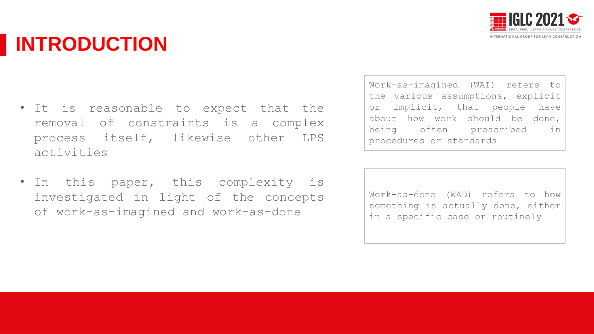

## **INTRODUCTION**

- It is reasonable to expect that the removal of constraints is a complex process itself, likewise other LPS activities
- In this paper, this complexity is investigated in light of the concepts of work-as-imagined and work-as-done

Work-as-imagined (WAI) refers to the various assumptions, explicit or implicit, that people have about how work should be done, being often prescribed in procedures or standards

Work-as-done (WAD) refers to how something is actually done, either in a specific case or routinely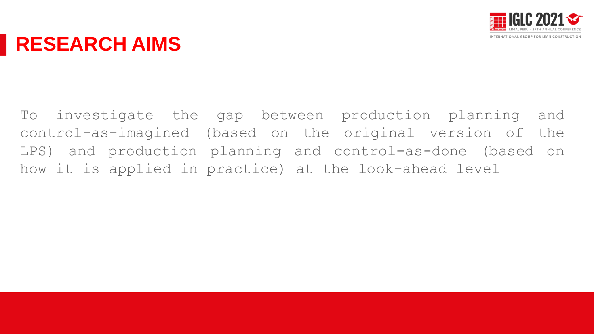

### **RESEARCH AIMS**

To investigate the gap between production planning and control-as-imagined (based on the original version of the LPS) and production planning and control-as-done (based on how it is applied in practice) at the look-ahead level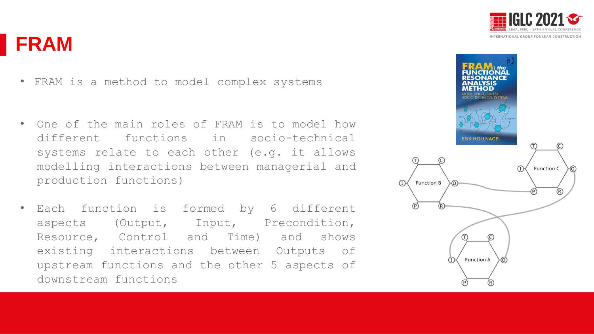



- FRAM is a method to model complex systems
- One of the main roles of FRAM is to model how different functions in socio-technical systems relate to each other (e.g. it allows modelling interactions between managerial and production functions)
- Each function is formed by 6 different aspects (Output, Input, Precondition, Resource, Control and Time) and shows existing interactions between Outputs of upstream functions and the other 5 aspects of downstream functions

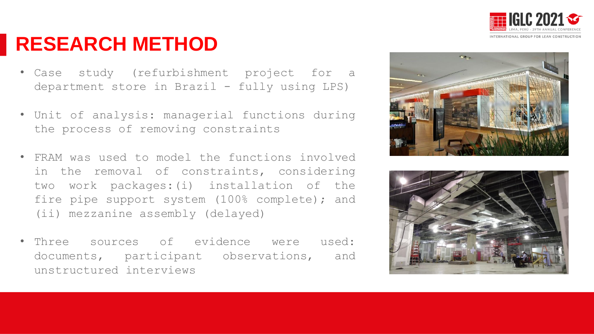

### **RESEARCH METHOD**

- Case study (refurbishment project for a department store in Brazil - fully using LPS)
- Unit of analysis: managerial functions during the process of removing constraints
- FRAM was used to model the functions involved in the removal of constraints, considering two work packages:(i) installation of the fire pipe support system (100% complete); and (ii) mezzanine assembly (delayed)
- Three sources of evidence were used: documents, participant observations, and unstructured interviews



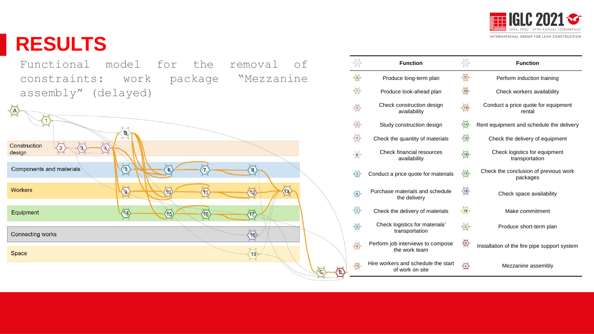

#### **RESULTS**

Functional model for the removal of constraints: work package "Mezzanine assembly" (delayed)



|                                | <b>Function</b>                                        |                                | <b>Function</b>                                   |
|--------------------------------|--------------------------------------------------------|--------------------------------|---------------------------------------------------|
| ⊙                              | Produce long-term plan                                 | $\langle \mathbb{D} \rangle$   | Perform induction training                        |
| ⊙                              | Produce look-ahead plan                                | $\circledcirc$                 | Check workers availability                        |
| ♦                              | Check construction design<br>availability              | $\langle 13 \rangle$           | Conduct a price quote for equipment<br>rental     |
| $\langle 3 \rangle$            | Study construction design                              | $\langle 14 \rangle$           | Rent equipment and schedule the delivery          |
| $\left\langle 4\right\rangle$  | Check the quantity of materials                        | $\langle 15 \rangle$           | Check the delivery of equipment                   |
| $\propto$ B $\searrow$         | <b>Check financial resources</b><br>availability       | $\langle 16 \rangle$           | Check logistics for equipment<br>transportation   |
| $\circlearrowright$            | Conduct a price quote for materials                    | $\langle \overline{v} \rangle$ | Check the conclusion of previous work<br>packages |
| $\circledcirc$                 | Purchase materials and schedule<br>the delivery        | (18)                           | Check space availability                          |
| $\langle 7 \rangle$            | Check the delivery of materials                        | (19)                           | Make commitment                                   |
| $\langle 8 \rangle$            | Check logistics for materials'<br>transportation       | $\odot$                        | Produce short-term plan                           |
| $\langle \overline{0} \rangle$ | Perform job interviews to compose<br>the work team     | $\odot$                        | Installation of the fire pipe support system      |
| ⊙                              | Hire workers and schedule the start<br>of work on site | ⊙                              | Mezzanine assembly                                |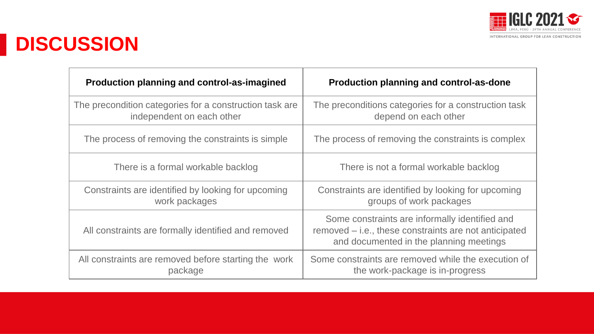

# **DISCUSSION**

| Production planning and control-as-imagined                                          | Production planning and control-as-done                                                                                                            |
|--------------------------------------------------------------------------------------|----------------------------------------------------------------------------------------------------------------------------------------------------|
| The precondition categories for a construction task are<br>independent on each other | The preconditions categories for a construction task<br>depend on each other                                                                       |
| The process of removing the constraints is simple                                    | The process of removing the constraints is complex                                                                                                 |
| There is a formal workable backlog                                                   | There is not a formal workable backlog                                                                                                             |
| Constraints are identified by looking for upcoming<br>work packages                  | Constraints are identified by looking for upcoming<br>groups of work packages                                                                      |
| All constraints are formally identified and removed                                  | Some constraints are informally identified and<br>removed - i.e., these constraints are not anticipated<br>and documented in the planning meetings |
| All constraints are removed before starting the work<br>package                      | Some constraints are removed while the execution of<br>the work-package is in-progress                                                             |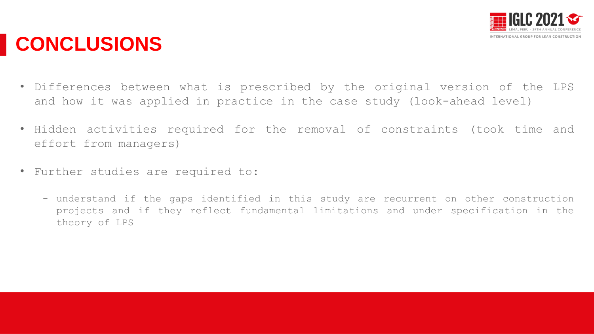

## **CONCLUSIONS**

- Differences between what is prescribed by the original version of the LPS and how it was applied in practice in the case study (look-ahead level)
- Hidden activities required for the removal of constraints (took time and effort from managers)
- Further studies are required to:
	- understand if the gaps identified in this study are recurrent on other construction projects and if they reflect fundamental limitations and under specification in the theory of LPS